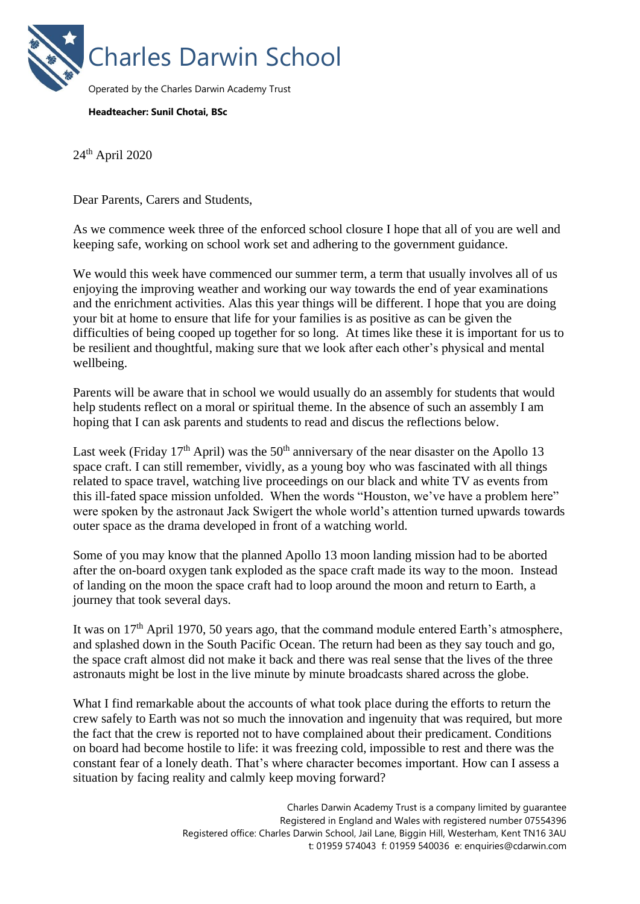

### **Headteacher: Sunil Chotai, BSc**

24th April 2020

Dear Parents, Carers and Students,

As we commence week three of the enforced school closure I hope that all of you are well and keeping safe, working on school work set and adhering to the government guidance.

We would this week have commenced our summer term, a term that usually involves all of us enjoying the improving weather and working our way towards the end of year examinations and the enrichment activities. Alas this year things will be different. I hope that you are doing your bit at home to ensure that life for your families is as positive as can be given the difficulties of being cooped up together for so long. At times like these it is important for us to be resilient and thoughtful, making sure that we look after each other's physical and mental wellbeing.

Parents will be aware that in school we would usually do an assembly for students that would help students reflect on a moral or spiritual theme. In the absence of such an assembly I am hoping that I can ask parents and students to read and discus the reflections below.

Last week (Friday 17<sup>th</sup> April) was the 50<sup>th</sup> anniversary of the near disaster on the Apollo 13 space craft. I can still remember, vividly, as a young boy who was fascinated with all things related to space travel, watching live proceedings on our black and white TV as events from this ill-fated space mission unfolded. When the words "Houston, we've have a problem here" were spoken by the astronaut Jack Swigert the whole world's attention turned upwards towards outer space as the drama developed in front of a watching world.

Some of you may know that the planned Apollo 13 moon landing mission had to be aborted after the on-board oxygen tank exploded as the space craft made its way to the moon. Instead of landing on the moon the space craft had to loop around the moon and return to Earth, a journey that took several days.

It was on  $17<sup>th</sup>$  April 1970, 50 years ago, that the command module entered Earth's atmosphere, and splashed down in the South Pacific Ocean. The return had been as they say touch and go, the space craft almost did not make it back and there was real sense that the lives of the three astronauts might be lost in the live minute by minute broadcasts shared across the globe.

What I find remarkable about the accounts of what took place during the efforts to return the crew safely to Earth was not so much the innovation and ingenuity that was required, but more the fact that the crew is reported not to have complained about their predicament. Conditions on board had become hostile to life: it was freezing cold, impossible to rest and there was the constant fear of a lonely death. That's where character becomes important. How can I assess a situation by facing reality and calmly keep moving forward?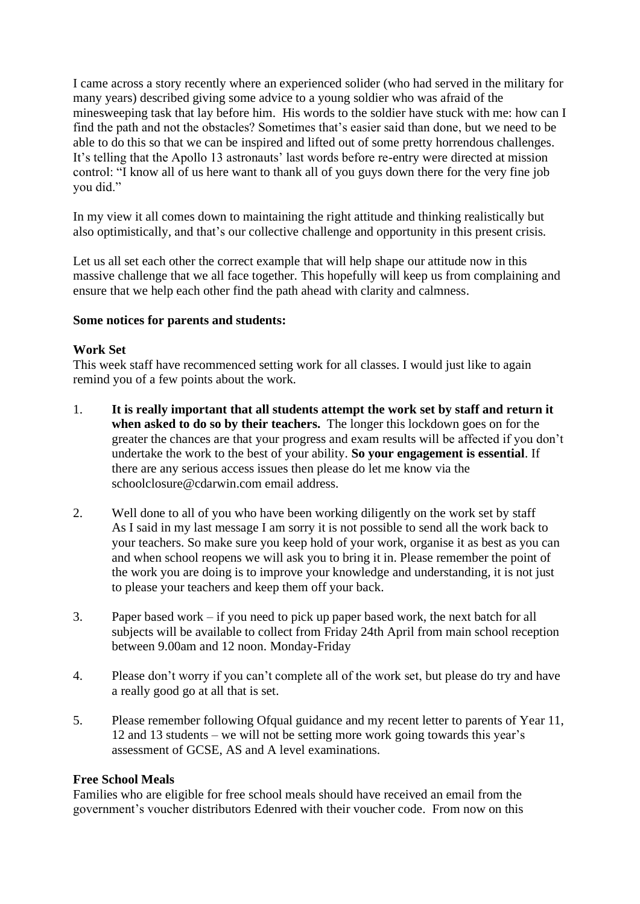I came across a story recently where an experienced solider (who had served in the military for many years) described giving some advice to a young soldier who was afraid of the minesweeping task that lay before him. His words to the soldier have stuck with me: how can I find the path and not the obstacles? Sometimes that's easier said than done, but we need to be able to do this so that we can be inspired and lifted out of some pretty horrendous challenges. It's telling that the Apollo 13 astronauts' last words before re-entry were directed at mission control: "I know all of us here want to thank all of you guys down there for the very fine job you did."

In my view it all comes down to maintaining the right attitude and thinking realistically but also optimistically, and that's our collective challenge and opportunity in this present crisis.

Let us all set each other the correct example that will help shape our attitude now in this massive challenge that we all face together. This hopefully will keep us from complaining and ensure that we help each other find the path ahead with clarity and calmness.

## **Some notices for parents and students:**

# **Work Set**

This week staff have recommenced setting work for all classes. I would just like to again remind you of a few points about the work.

- 1. **It is really important that all students attempt the work set by staff and return it when asked to do so by their teachers.** The longer this lockdown goes on for the greater the chances are that your progress and exam results will be affected if you don't undertake the work to the best of your ability. **So your engagement is essential**. If there are any serious access issues then please do let me know via the schoolclosure@cdarwin.com email address.
- 2. Well done to all of you who have been working diligently on the work set by staff As I said in my last message I am sorry it is not possible to send all the work back to your teachers. So make sure you keep hold of your work, organise it as best as you can and when school reopens we will ask you to bring it in. Please remember the point of the work you are doing is to improve your knowledge and understanding, it is not just to please your teachers and keep them off your back.
- 3. Paper based work if you need to pick up paper based work, the next batch for all subjects will be available to collect from Friday 24th April from main school reception between 9.00am and 12 noon. Monday-Friday
- 4. Please don't worry if you can't complete all of the work set, but please do try and have a really good go at all that is set.
- 5. Please remember following Ofqual guidance and my recent letter to parents of Year 11, 12 and 13 students – we will not be setting more work going towards this year's assessment of GCSE, AS and A level examinations.

### **Free School Meals**

Families who are eligible for free school meals should have received an email from the government's voucher distributors Edenred with their voucher code. From now on this